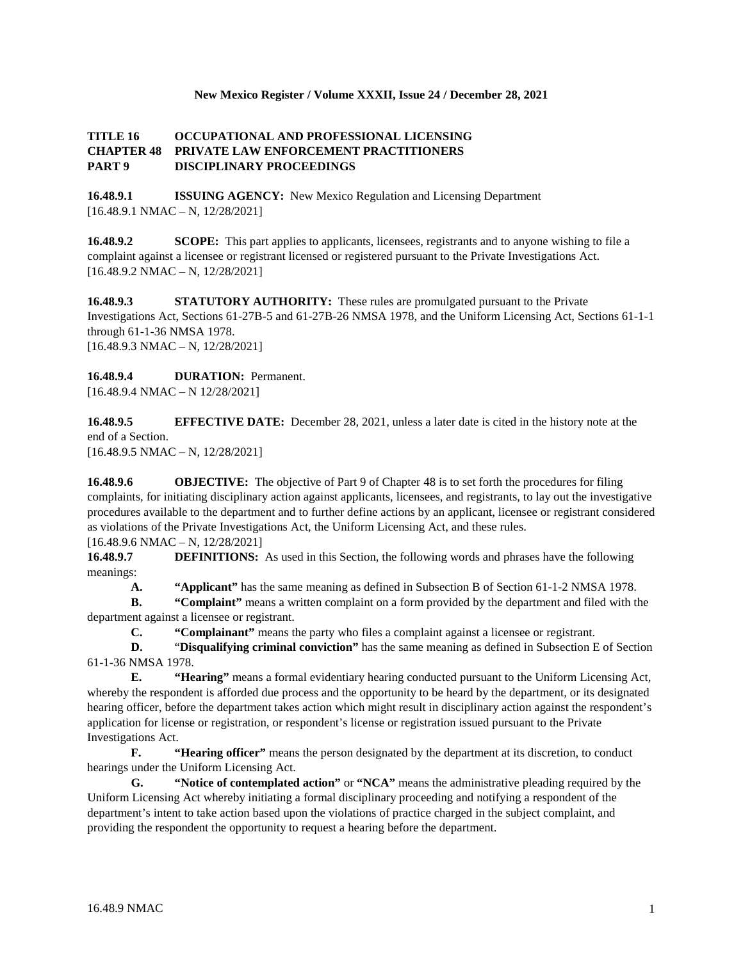#### **New Mexico Register / Volume XXXII, Issue 24 / December 28, 2021**

#### **TITLE 16 OCCUPATIONAL AND PROFESSIONAL LICENSING CHAPTER 48 PRIVATE LAW ENFORCEMENT PRACTITIONERS PART 9 DISCIPLINARY PROCEEDINGS**

**16.48.9.1 ISSUING AGENCY:** New Mexico Regulation and Licensing Department  $[16.48.9.1 \text{ NMAC} - \text{N}, 12/28/2021]$ 

**16.48.9.2 SCOPE:** This part applies to applicants, licensees, registrants and to anyone wishing to file a complaint against a licensee or registrant licensed or registered pursuant to the Private Investigations Act. [16.48.9.2 NMAC – N, 12/28/2021]

**16.48.9.3 STATUTORY AUTHORITY:** These rules are promulgated pursuant to the Private Investigations Act, Sections 61-27B-5 and 61-27B-26 NMSA 1978, and the Uniform Licensing Act, Sections 61-1-1 through 61-1-36 NMSA 1978. [16.48.9.3 NMAC – N, 12/28/2021]

**16.48.9.4 DURATION:** Permanent. [16.48.9.4 NMAC – N 12/28/2021]

**16.48.9.5 EFFECTIVE DATE:** December 28, 2021, unless a later date is cited in the history note at the end of a Section.

[16.48.9.5 NMAC – N, 12/28/2021]

**16.48.9.6 OBJECTIVE:** The objective of Part 9 of Chapter 48 is to set forth the procedures for filing complaints, for initiating disciplinary action against applicants, licensees, and registrants, to lay out the investigative procedures available to the department and to further define actions by an applicant, licensee or registrant considered as violations of the Private Investigations Act, the Uniform Licensing Act, and these rules.

[16.48.9.6 NMAC – N, 12/28/2021]

**16.48.9.7 DEFINITIONS:** As used in this Section, the following words and phrases have the following meanings:

**A. "Applicant"** has the same meaning as defined in Subsection B of Section 61-1-2 NMSA 1978.

**B. "Complaint"** means a written complaint on a form provided by the department and filed with the department against a licensee or registrant.

**C. "Complainant"** means the party who files a complaint against a licensee or registrant.

**D.** "**Disqualifying criminal conviction"** has the same meaning as defined in Subsection E of Section 61-1-36 NMSA 1978.

**E. "Hearing"** means a formal evidentiary hearing conducted pursuant to the Uniform Licensing Act, whereby the respondent is afforded due process and the opportunity to be heard by the department, or its designated hearing officer, before the department takes action which might result in disciplinary action against the respondent's application for license or registration, or respondent's license or registration issued pursuant to the Private Investigations Act.

**F. "Hearing officer"** means the person designated by the department at its discretion, to conduct hearings under the Uniform Licensing Act.

**G. "Notice of contemplated action"** or **"NCA"** means the administrative pleading required by the Uniform Licensing Act whereby initiating a formal disciplinary proceeding and notifying a respondent of the department's intent to take action based upon the violations of practice charged in the subject complaint, and providing the respondent the opportunity to request a hearing before the department.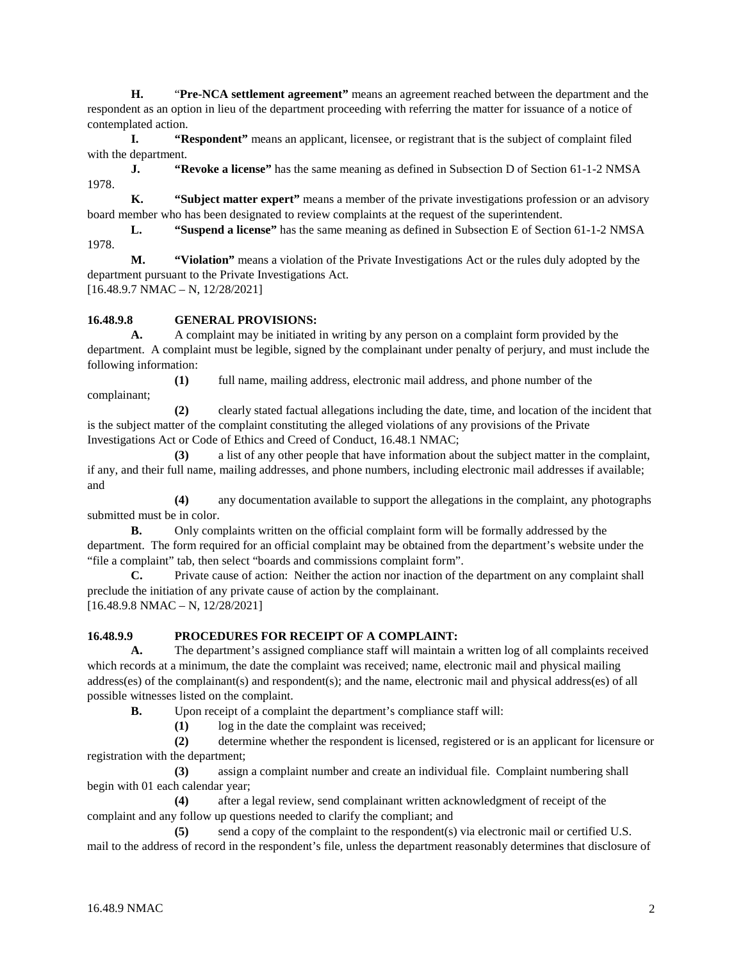**H.** "**Pre-NCA settlement agreement"** means an agreement reached between the department and the respondent as an option in lieu of the department proceeding with referring the matter for issuance of a notice of contemplated action.

**I. "Respondent"** means an applicant, licensee, or registrant that is the subject of complaint filed with the department.

**J. "Revoke a license"** has the same meaning as defined in Subsection D of Section 61-1-2 NMSA 1978.

**K. "Subject matter expert"** means a member of the private investigations profession or an advisory board member who has been designated to review complaints at the request of the superintendent.

**L. "Suspend a license"** has the same meaning as defined in Subsection E of Section 61-1-2 NMSA 1978.

**M. "Violation"** means a violation of the Private Investigations Act or the rules duly adopted by the department pursuant to the Private Investigations Act.

[16.48.9.7 NMAC – N, 12/28/2021]

# **16.48.9.8 GENERAL PROVISIONS:**

**A.** A complaint may be initiated in writing by any person on a complaint form provided by the department. A complaint must be legible, signed by the complainant under penalty of perjury, and must include the following information:

**(1)** full name, mailing address, electronic mail address, and phone number of the complainant;

**(2)** clearly stated factual allegations including the date, time, and location of the incident that is the subject matter of the complaint constituting the alleged violations of any provisions of the Private Investigations Act or Code of Ethics and Creed of Conduct, 16.48.1 NMAC;

**(3)** a list of any other people that have information about the subject matter in the complaint, if any, and their full name, mailing addresses, and phone numbers, including electronic mail addresses if available; and

**(4)** any documentation available to support the allegations in the complaint, any photographs submitted must be in color.

**B.** Only complaints written on the official complaint form will be formally addressed by the department. The form required for an official complaint may be obtained from the department's website under the "file a complaint" tab, then select "boards and commissions complaint form".

**C.** Private cause of action: Neither the action nor inaction of the department on any complaint shall preclude the initiation of any private cause of action by the complainant.

[16.48.9.8 NMAC – N, 12/28/2021]

#### **16.48.9.9 PROCEDURES FOR RECEIPT OF A COMPLAINT:**

**A.** The department's assigned compliance staff will maintain a written log of all complaints received which records at a minimum, the date the complaint was received; name, electronic mail and physical mailing address(es) of the complainant(s) and respondent(s); and the name, electronic mail and physical address(es) of all possible witnesses listed on the complaint.

**B.** Upon receipt of a complaint the department's compliance staff will:

**(1)** log in the date the complaint was received;

**(2)** determine whether the respondent is licensed, registered or is an applicant for licensure or registration with the department;

**(3)** assign a complaint number and create an individual file. Complaint numbering shall begin with 01 each calendar year;

**(4)** after a legal review, send complainant written acknowledgment of receipt of the complaint and any follow up questions needed to clarify the compliant; and

**(5)** send a copy of the complaint to the respondent(s) via electronic mail or certified U.S. mail to the address of record in the respondent's file, unless the department reasonably determines that disclosure of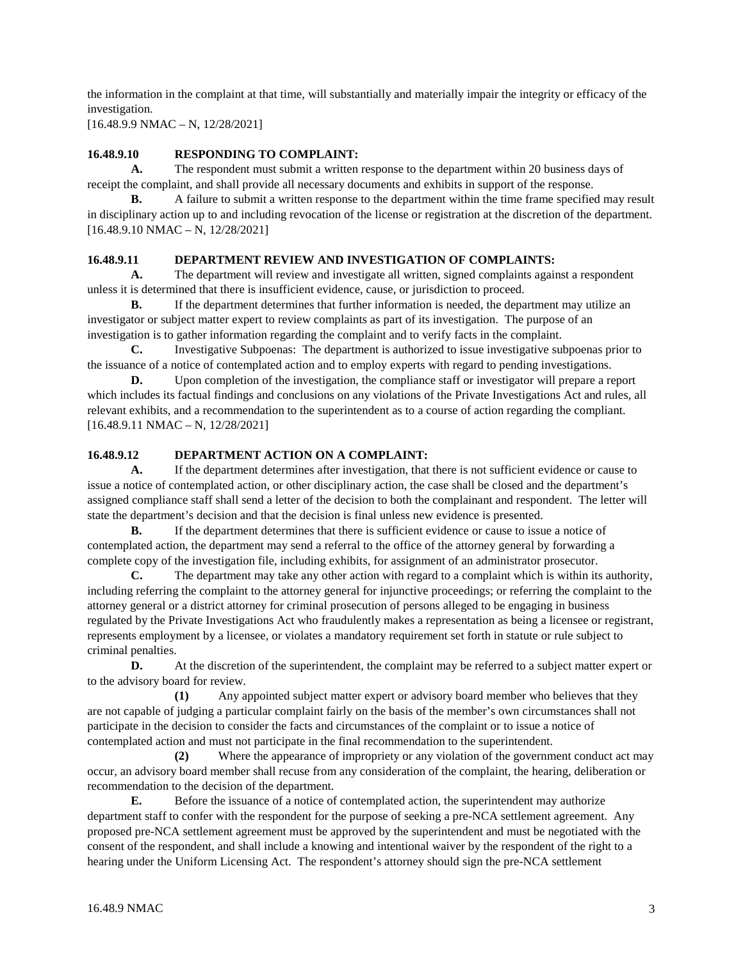the information in the complaint at that time, will substantially and materially impair the integrity or efficacy of the investigation.

[16.48.9.9 NMAC – N, 12/28/2021]

## **16.48.9.10 RESPONDING TO COMPLAINT:**

**A.** The respondent must submit a written response to the department within 20 business days of receipt the complaint, and shall provide all necessary documents and exhibits in support of the response.

**B.** A failure to submit a written response to the department within the time frame specified may result in disciplinary action up to and including revocation of the license or registration at the discretion of the department. [16.48.9.10 NMAC – N, 12/28/2021]

#### **16.48.9.11 DEPARTMENT REVIEW AND INVESTIGATION OF COMPLAINTS:**

**A.** The department will review and investigate all written, signed complaints against a respondent unless it is determined that there is insufficient evidence, cause, or jurisdiction to proceed.

**B.** If the department determines that further information is needed, the department may utilize an investigator or subject matter expert to review complaints as part of its investigation. The purpose of an investigation is to gather information regarding the complaint and to verify facts in the complaint.

**C.** Investigative Subpoenas: The department is authorized to issue investigative subpoenas prior to the issuance of a notice of contemplated action and to employ experts with regard to pending investigations.

**D.** Upon completion of the investigation, the compliance staff or investigator will prepare a report which includes its factual findings and conclusions on any violations of the Private Investigations Act and rules, all relevant exhibits, and a recommendation to the superintendent as to a course of action regarding the compliant. [16.48.9.11 NMAC – N, 12/28/2021]

#### **16.48.9.12 DEPARTMENT ACTION ON A COMPLAINT:**

**A.** If the department determines after investigation, that there is not sufficient evidence or cause to issue a notice of contemplated action, or other disciplinary action, the case shall be closed and the department's assigned compliance staff shall send a letter of the decision to both the complainant and respondent. The letter will state the department's decision and that the decision is final unless new evidence is presented.

**B.** If the department determines that there is sufficient evidence or cause to issue a notice of contemplated action, the department may send a referral to the office of the attorney general by forwarding a complete copy of the investigation file, including exhibits, for assignment of an administrator prosecutor.

**C.** The department may take any other action with regard to a complaint which is within its authority, including referring the complaint to the attorney general for injunctive proceedings; or referring the complaint to the attorney general or a district attorney for criminal prosecution of persons alleged to be engaging in business regulated by the Private Investigations Act who fraudulently makes a representation as being a licensee or registrant, represents employment by a licensee, or violates a mandatory requirement set forth in statute or rule subject to criminal penalties.

**D.** At the discretion of the superintendent, the complaint may be referred to a subject matter expert or to the advisory board for review.

**(1)** Any appointed subject matter expert or advisory board member who believes that they are not capable of judging a particular complaint fairly on the basis of the member's own circumstances shall not participate in the decision to consider the facts and circumstances of the complaint or to issue a notice of contemplated action and must not participate in the final recommendation to the superintendent.

**(2)** Where the appearance of impropriety or any violation of the government conduct act may occur, an advisory board member shall recuse from any consideration of the complaint, the hearing, deliberation or recommendation to the decision of the department.

**E.** Before the issuance of a notice of contemplated action, the superintendent may authorize department staff to confer with the respondent for the purpose of seeking a pre-NCA settlement agreement. Any proposed pre-NCA settlement agreement must be approved by the superintendent and must be negotiated with the consent of the respondent, and shall include a knowing and intentional waiver by the respondent of the right to a hearing under the Uniform Licensing Act. The respondent's attorney should sign the pre-NCA settlement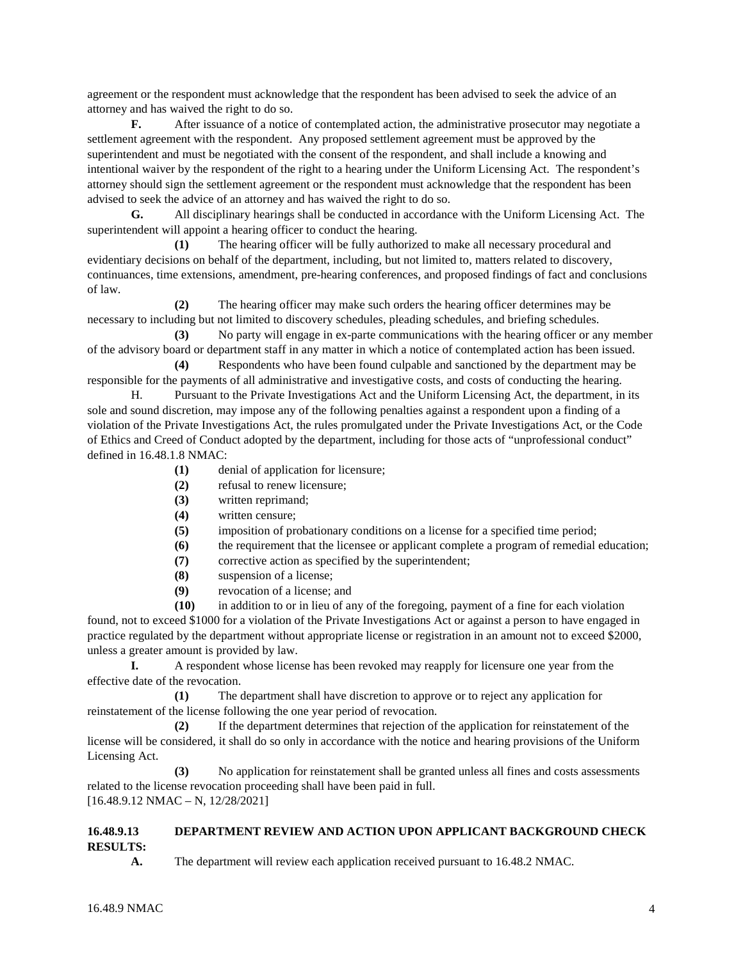agreement or the respondent must acknowledge that the respondent has been advised to seek the advice of an attorney and has waived the right to do so.

**F.** After issuance of a notice of contemplated action, the administrative prosecutor may negotiate a settlement agreement with the respondent. Any proposed settlement agreement must be approved by the superintendent and must be negotiated with the consent of the respondent, and shall include a knowing and intentional waiver by the respondent of the right to a hearing under the Uniform Licensing Act. The respondent's attorney should sign the settlement agreement or the respondent must acknowledge that the respondent has been advised to seek the advice of an attorney and has waived the right to do so.

**G.** All disciplinary hearings shall be conducted in accordance with the Uniform Licensing Act. The superintendent will appoint a hearing officer to conduct the hearing.

**(1)** The hearing officer will be fully authorized to make all necessary procedural and evidentiary decisions on behalf of the department, including, but not limited to, matters related to discovery, continuances, time extensions, amendment, pre-hearing conferences, and proposed findings of fact and conclusions of law.

**(2)** The hearing officer may make such orders the hearing officer determines may be necessary to including but not limited to discovery schedules, pleading schedules, and briefing schedules.

**(3)** No party will engage in ex-parte communications with the hearing officer or any member of the advisory board or department staff in any matter in which a notice of contemplated action has been issued.

**(4)** Respondents who have been found culpable and sanctioned by the department may be responsible for the payments of all administrative and investigative costs, and costs of conducting the hearing.

H. Pursuant to the Private Investigations Act and the Uniform Licensing Act, the department, in its sole and sound discretion, may impose any of the following penalties against a respondent upon a finding of a violation of the Private Investigations Act, the rules promulgated under the Private Investigations Act, or the Code of Ethics and Creed of Conduct adopted by the department, including for those acts of "unprofessional conduct" defined in 16.48.1.8 NMAC:

- **(1)** denial of application for licensure;
- **(2)** refusal to renew licensure;
- **(3)** written reprimand;
- **(4)** written censure;
- **(5)** imposition of probationary conditions on a license for a specified time period;
- **(6)** the requirement that the licensee or applicant complete a program of remedial education;
- **(7)** corrective action as specified by the superintendent;
- **(8)** suspension of a license;
- **(9)** revocation of a license; and

**(10)** in addition to or in lieu of any of the foregoing, payment of a fine for each violation found, not to exceed \$1000 for a violation of the Private Investigations Act or against a person to have engaged in practice regulated by the department without appropriate license or registration in an amount not to exceed \$2000, unless a greater amount is provided by law.

**I.** A respondent whose license has been revoked may reapply for licensure one year from the effective date of the revocation.

**(1)** The department shall have discretion to approve or to reject any application for reinstatement of the license following the one year period of revocation.

**(2)** If the department determines that rejection of the application for reinstatement of the license will be considered, it shall do so only in accordance with the notice and hearing provisions of the Uniform Licensing Act.

**(3)** No application for reinstatement shall be granted unless all fines and costs assessments related to the license revocation proceeding shall have been paid in full. [16.48.9.12 NMAC – N, 12/28/2021]

#### **16.48.9.13 DEPARTMENT REVIEW AND ACTION UPON APPLICANT BACKGROUND CHECK RESULTS:**

**A.** The department will review each application received pursuant to 16.48.2 NMAC.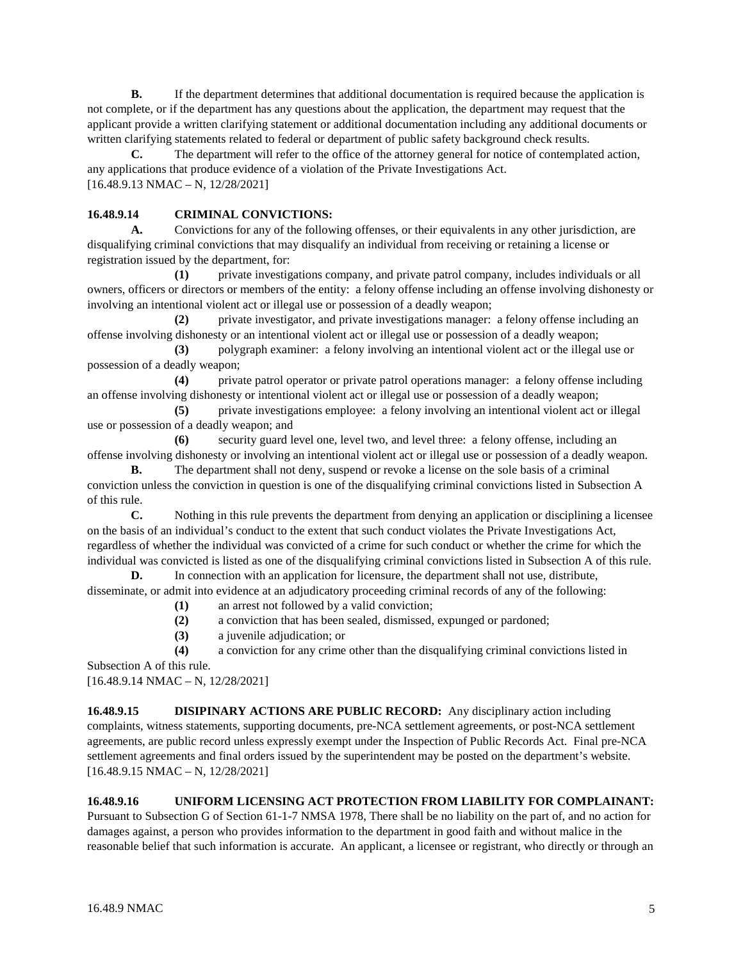**B.** If the department determines that additional documentation is required because the application is not complete, or if the department has any questions about the application, the department may request that the applicant provide a written clarifying statement or additional documentation including any additional documents or written clarifying statements related to federal or department of public safety background check results.

**C.** The department will refer to the office of the attorney general for notice of contemplated action, any applications that produce evidence of a violation of the Private Investigations Act. [16.48.9.13 NMAC – N, 12/28/2021]

### **16.48.9.14 CRIMINAL CONVICTIONS:**

**A.** Convictions for any of the following offenses, or their equivalents in any other jurisdiction, are disqualifying criminal convictions that may disqualify an individual from receiving or retaining a license or registration issued by the department, for:

**(1)** private investigations company, and private patrol company, includes individuals or all owners, officers or directors or members of the entity: a felony offense including an offense involving dishonesty or involving an intentional violent act or illegal use or possession of a deadly weapon;

**(2)** private investigator, and private investigations manager: a felony offense including an offense involving dishonesty or an intentional violent act or illegal use or possession of a deadly weapon;

**(3)** polygraph examiner: a felony involving an intentional violent act or the illegal use or possession of a deadly weapon;

**(4)** private patrol operator or private patrol operations manager: a felony offense including an offense involving dishonesty or intentional violent act or illegal use or possession of a deadly weapon;

**(5)** private investigations employee: a felony involving an intentional violent act or illegal use or possession of a deadly weapon; and

**(6)** security guard level one, level two, and level three: a felony offense, including an offense involving dishonesty or involving an intentional violent act or illegal use or possession of a deadly weapon.

**B.** The department shall not deny, suspend or revoke a license on the sole basis of a criminal conviction unless the conviction in question is one of the disqualifying criminal convictions listed in Subsection A of this rule.

**C.** Nothing in this rule prevents the department from denying an application or disciplining a licensee on the basis of an individual's conduct to the extent that such conduct violates the Private Investigations Act, regardless of whether the individual was convicted of a crime for such conduct or whether the crime for which the individual was convicted is listed as one of the disqualifying criminal convictions listed in Subsection A of this rule.

**D.** In connection with an application for licensure, the department shall not use, distribute, disseminate, or admit into evidence at an adjudicatory proceeding criminal records of any of the following:

- **(1)** an arrest not followed by a valid conviction;
- **(2)** a conviction that has been sealed, dismissed, expunged or pardoned;
- **(3)** a juvenile adjudication; or

**(4)** a conviction for any crime other than the disqualifying criminal convictions listed in Subsection A of this rule.

[16.48.9.14 NMAC – N, 12/28/2021]

**16.48.9.15 DISIPINARY ACTIONS ARE PUBLIC RECORD:** Any disciplinary action including complaints, witness statements, supporting documents, pre-NCA settlement agreements, or post-NCA settlement agreements, are public record unless expressly exempt under the Inspection of Public Records Act. Final pre-NCA settlement agreements and final orders issued by the superintendent may be posted on the department's website. [16.48.9.15 NMAC – N, 12/28/2021]

**16.48.9.16 UNIFORM LICENSING ACT PROTECTION FROM LIABILITY FOR COMPLAINANT:**

Pursuant to Subsection G of Section 61-1-7 NMSA 1978, There shall be no liability on the part of, and no action for damages against, a person who provides information to the department in good faith and without malice in the reasonable belief that such information is accurate. An applicant, a licensee or registrant, who directly or through an